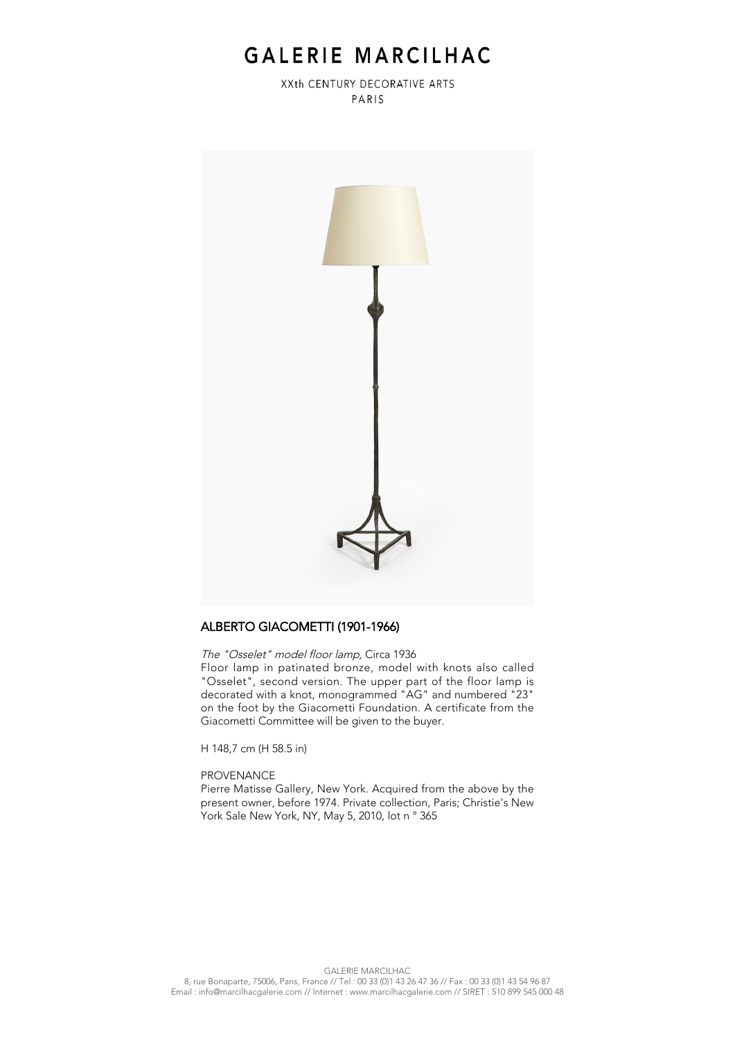# GALERIE MARCILHAC

XXth CENTURY DECORATIVE ARTS PARIS



### ALBERTO GIACOMETTI (1901-1966)

The "Osselet" model floor lamp, Circa 1936

Floor lamp in patinated bronze, model with knots also called "Osselet", second version. The upper part of the floor lamp is decorated with a knot, monogrammed "AG" and numbered "23" on the foot by the Giacometti Foundation. A certificate from the Giacometti Committee will be given to the buyer.

H 148,7 cm (H 58.5 in)

#### PROVENANCE

Pierre Matisse Gallery, New York. Acquired from the above by the present owner, before 1974. Private collection, Paris; Christie's New York Sale New York, NY, May 5, 2010, lot n ° 365